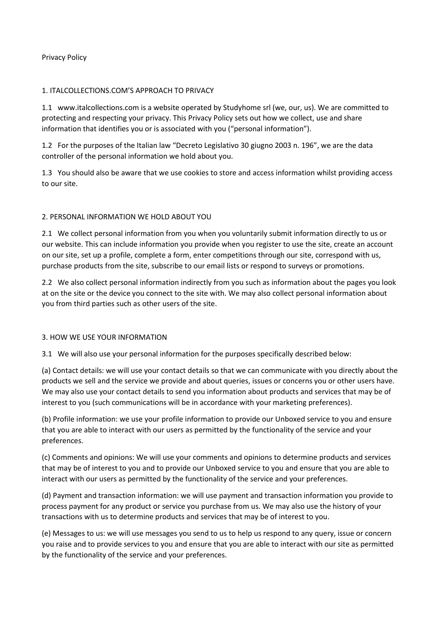#### Privacy Policy

#### 1. ITALCOLLECTIONS.COM'S APPROACH TO PRIVACY

1.1 www.italcollections.com is a website operated by Studyhome srl (we, our, us). We are committed to protecting and respecting your privacy. This Privacy Policy sets out how we collect, use and share information that identifies you or is associated with you ("personal information").

1.2 For the purposes of the Italian law "Decreto Legislativo 30 giugno 2003 n. 196", we are the data controller of the personal information we hold about you.

1.3 You should also be aware that we use cookies to store and access information whilst providing access to our site.

# 2. PERSONAL INFORMATION WE HOLD ABOUT YOU

2.1 We collect personal information from you when you voluntarily submit information directly to us or our website. This can include information you provide when you register to use the site, create an account on our site, set up a profile, complete a form, enter competitions through our site, correspond with us, purchase products from the site, subscribe to our email lists or respond to surveys or promotions.

2.2 We also collect personal information indirectly from you such as information about the pages you look at on the site or the device you connect to the site with. We may also collect personal information about you from third parties such as other users of the site.

#### 3. HOW WE USE YOUR INFORMATION

3.1 We will also use your personal information for the purposes specifically described below:

(a) Contact details: we will use your contact details so that we can communicate with you directly about the products we sell and the service we provide and about queries, issues or concerns you or other users have. We may also use your contact details to send you information about products and services that may be of interest to you (such communications will be in accordance with your marketing preferences).

(b) Profile information: we use your profile information to provide our Unboxed service to you and ensure that you are able to interact with our users as permitted by the functionality of the service and your preferences.

(c) Comments and opinions: We will use your comments and opinions to determine products and services that may be of interest to you and to provide our Unboxed service to you and ensure that you are able to interact with our users as permitted by the functionality of the service and your preferences.

(d) Payment and transaction information: we will use payment and transaction information you provide to process payment for any product or service you purchase from us. We may also use the history of your transactions with us to determine products and services that may be of interest to you.

(e) Messages to us: we will use messages you send to us to help us respond to any query, issue or concern you raise and to provide services to you and ensure that you are able to interact with our site as permitted by the functionality of the service and your preferences.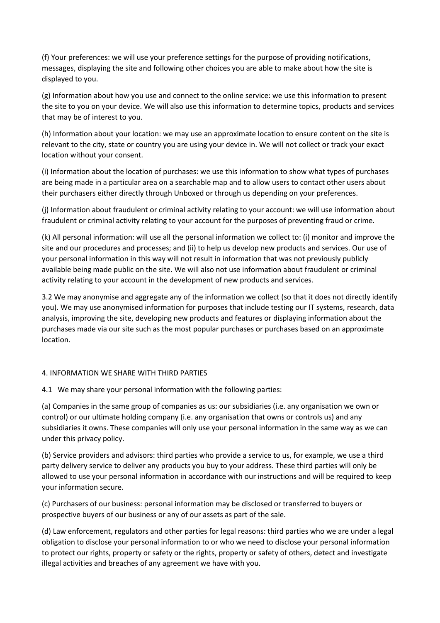(f) Your preferences: we will use your preference settings for the purpose of providing notifications, messages, displaying the site and following other choices you are able to make about how the site is displayed to you.

(g) Information about how you use and connect to the online service: we use this information to present the site to you on your device. We will also use this information to determine topics, products and services that may be of interest to you.

(h) Information about your location: we may use an approximate location to ensure content on the site is relevant to the city, state or country you are using your device in. We will not collect or track your exact location without your consent.

(i) Information about the location of purchases: we use this information to show what types of purchases are being made in a particular area on a searchable map and to allow users to contact other users about their purchasers either directly through Unboxed or through us depending on your preferences.

(j) Information about fraudulent or criminal activity relating to your account: we will use information about fraudulent or criminal activity relating to your account for the purposes of preventing fraud or crime.

(k) All personal information: will use all the personal information we collect to: (i) monitor and improve the site and our procedures and processes; and (ii) to help us develop new products and services. Our use of your personal information in this way will not result in information that was not previously publicly available being made public on the site. We will also not use information about fraudulent or criminal activity relating to your account in the development of new products and services.

3.2 We may anonymise and aggregate any of the information we collect (so that it does not directly identify you). We may use anonymised information for purposes that include testing our IT systems, research, data analysis, improving the site, developing new products and features or displaying information about the purchases made via our site such as the most popular purchases or purchases based on an approximate location.

# 4. INFORMATION WE SHARE WITH THIRD PARTIES

4.1 We may share your personal information with the following parties:

(a) Companies in the same group of companies as us: our subsidiaries (i.e. any organisation we own or control) or our ultimate holding company (i.e. any organisation that owns or controls us) and any subsidiaries it owns. These companies will only use your personal information in the same way as we can under this privacy policy.

(b) Service providers and advisors: third parties who provide a service to us, for example, we use a third party delivery service to deliver any products you buy to your address. These third parties will only be allowed to use your personal information in accordance with our instructions and will be required to keep your information secure.

(c) Purchasers of our business: personal information may be disclosed or transferred to buyers or prospective buyers of our business or any of our assets as part of the sale.

(d) Law enforcement, regulators and other parties for legal reasons: third parties who we are under a legal obligation to disclose your personal information to or who we need to disclose your personal information to protect our rights, property or safety or the rights, property or safety of others, detect and investigate illegal activities and breaches of any agreement we have with you.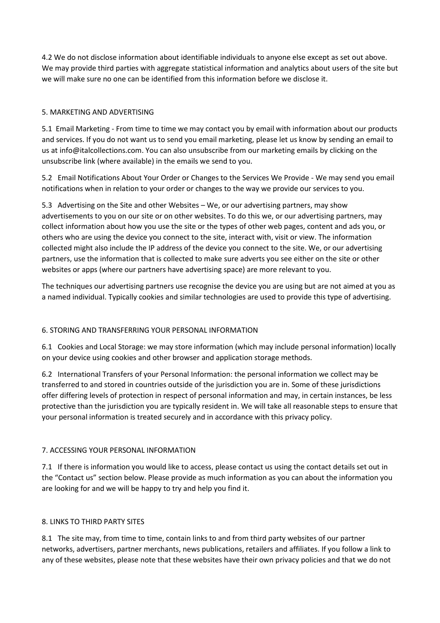4.2 We do not disclose information about identifiable individuals to anyone else except as set out above. We may provide third parties with aggregate statistical information and analytics about users of the site but we will make sure no one can be identified from this information before we disclose it.

# 5. MARKETING AND ADVERTISING

5.1 Email Marketing - From time to time we may contact you by email with information about our products and services. If you do not want us to send you email marketing, please let us know by sending an email to us at info@italcollections.com. You can also unsubscribe from our marketing emails by clicking on the unsubscribe link (where available) in the emails we send to you.

5.2 Email Notifications About Your Order or Changes to the Services We Provide - We may send you email notifications when in relation to your order or changes to the way we provide our services to you.

5.3 Advertising on the Site and other Websites – We, or our advertising partners, may show advertisements to you on our site or on other websites. To do this we, or our advertising partners, may collect information about how you use the site or the types of other web pages, content and ads you, or others who are using the device you connect to the site, interact with, visit or view. The information collected might also include the IP address of the device you connect to the site. We, or our advertising partners, use the information that is collected to make sure adverts you see either on the site or other websites or apps (where our partners have advertising space) are more relevant to you.

The techniques our advertising partners use recognise the device you are using but are not aimed at you as a named individual. Typically cookies and similar technologies are used to provide this type of advertising.

# 6. STORING AND TRANSFERRING YOUR PERSONAL INFORMATION

6.1 Cookies and Local Storage: we may store information (which may include personal information) locally on your device using cookies and other browser and application storage methods.

6.2 International Transfers of your Personal Information: the personal information we collect may be transferred to and stored in countries outside of the jurisdiction you are in. Some of these jurisdictions offer differing levels of protection in respect of personal information and may, in certain instances, be less protective than the jurisdiction you are typically resident in. We will take all reasonable steps to ensure that your personal information is treated securely and in accordance with this privacy policy.

# 7. ACCESSING YOUR PERSONAL INFORMATION

7.1 If there is information you would like to access, please contact us using the contact details set out in the "Contact us" section below. Please provide as much information as you can about the information you are looking for and we will be happy to try and help you find it.

# 8. LINKS TO THIRD PARTY SITES

8.1 The site may, from time to time, contain links to and from third party websites of our partner networks, advertisers, partner merchants, news publications, retailers and affiliates. If you follow a link to any of these websites, please note that these websites have their own privacy policies and that we do not